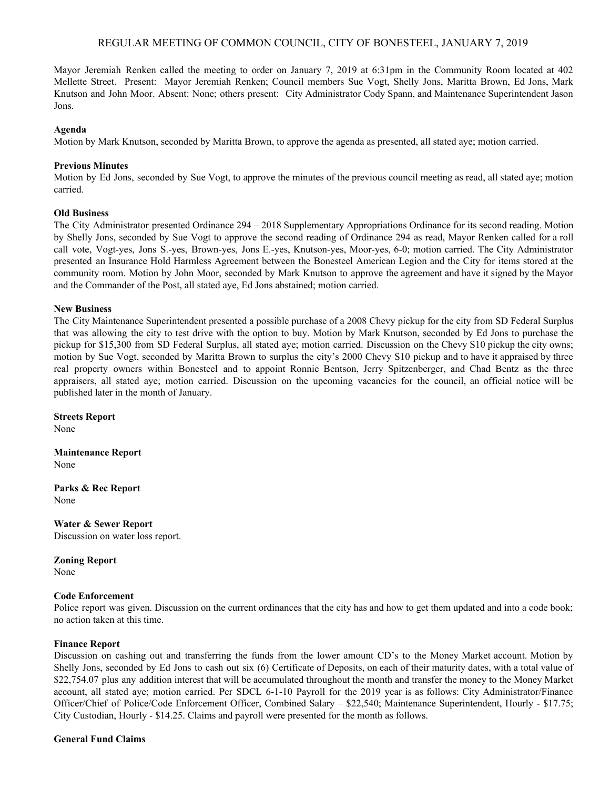# REGULAR MEETING OF COMMON COUNCIL, CITY OF BONESTEEL, JANUARY 7, 2019

Mayor Jeremiah Renken called the meeting to order on January 7, 2019 at 6:31pm in the Community Room located at 402 Mellette Street. Present: Mayor Jeremiah Renken; Council members Sue Vogt, Shelly Jons, Maritta Brown, Ed Jons, Mark Knutson and John Moor. Absent: None; others present: City Administrator Cody Spann, and Maintenance Superintendent Jason Jons.

### **Agenda**

Motion by Mark Knutson, seconded by Maritta Brown, to approve the agenda as presented, all stated aye; motion carried.

### **Previous Minutes**

Motion by Ed Jons, seconded by Sue Vogt, to approve the minutes of the previous council meeting as read, all stated aye; motion carried.

#### **Old Business**

The City Administrator presented Ordinance 294 – 2018 Supplementary Appropriations Ordinance for its second reading. Motion by Shelly Jons, seconded by Sue Vogt to approve the second reading of Ordinance 294 as read, Mayor Renken called for a roll call vote, Vogt-yes, Jons S.-yes, Brown-yes, Jons E.-yes, Knutson-yes, Moor-yes, 6-0; motion carried. The City Administrator presented an Insurance Hold Harmless Agreement between the Bonesteel American Legion and the City for items stored at the community room. Motion by John Moor, seconded by Mark Knutson to approve the agreement and have it signed by the Mayor and the Commander of the Post, all stated aye, Ed Jons abstained; motion carried.

#### **New Business**

The City Maintenance Superintendent presented a possible purchase of a 2008 Chevy pickup for the city from SD Federal Surplus that was allowing the city to test drive with the option to buy. Motion by Mark Knutson, seconded by Ed Jons to purchase the pickup for \$15,300 from SD Federal Surplus, all stated aye; motion carried. Discussion on the Chevy S10 pickup the city owns; motion by Sue Vogt, seconded by Maritta Brown to surplus the city's 2000 Chevy S10 pickup and to have it appraised by three real property owners within Bonesteel and to appoint Ronnie Bentson, Jerry Spitzenberger, and Chad Bentz as the three appraisers, all stated aye; motion carried. Discussion on the upcoming vacancies for the council, an official notice will be published later in the month of January.

**Streets Report**

None

**Maintenance Report** None

**Parks & Rec Report** None

**Water & Sewer Report** Discussion on water loss report.

#### **Zoning Report**

None

#### **Code Enforcement**

Police report was given. Discussion on the current ordinances that the city has and how to get them updated and into a code book; no action taken at this time.

#### **Finance Report**

Discussion on cashing out and transferring the funds from the lower amount CD's to the Money Market account. Motion by Shelly Jons, seconded by Ed Jons to cash out six (6) Certificate of Deposits, on each of their maturity dates, with a total value of \$22,754.07 plus any addition interest that will be accumulated throughout the month and transfer the money to the Money Market account, all stated aye; motion carried. Per SDCL 6-1-10 Payroll for the 2019 year is as follows: City Administrator/Finance Officer/Chief of Police/Code Enforcement Officer, Combined Salary – \$22,540; Maintenance Superintendent, Hourly - \$17.75; City Custodian, Hourly - \$14.25. Claims and payroll were presented for the month as follows.

# **General Fund Claims**